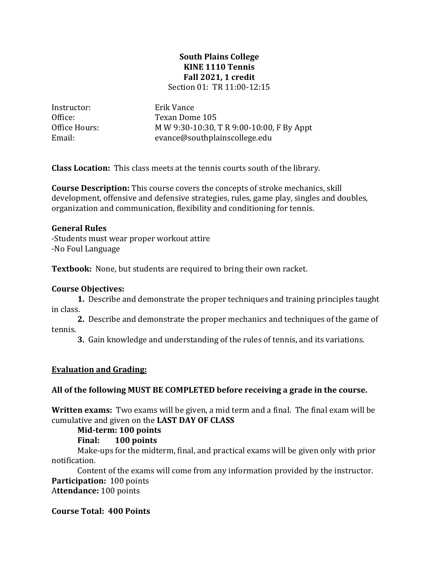### **South Plains College KINE 1110 Tennis Fall 2021, 1 credit** Section 01: TR 11:00-12:15

Instructor: Erik Vance<br>Office: Texan Dom

Office: Texan Dome 105<br>Office Hours: MW 9:30-10:30, Office Hours: MW 9:30-10:30, T R 9:00-10:00, F By Appt<br>Email: evance@southplainscollege.edu evance@southplainscollege.edu

**Class Location:** This class meets at the tennis courts south of the library.

**Course Description:** This course covers the concepts of stroke mechanics, skill development, offensive and defensive strategies, rules, game play, singles and doubles, organization and communication, flexibility and conditioning for tennis.

## **General Rules**

-Students must wear proper workout attire -No Foul Language

**Textbook:** None, but students are required to bring their own racket.

## **Course Objectives:**

**1.** Describe and demonstrate the proper techniques and training principles taught in class.

**2.** Describe and demonstrate the proper mechanics and techniques of the game of tennis.

**3.** Gain knowledge and understanding of the rules of tennis, and its variations.

## **Evaluation and Grading:**

### **All of the following MUST BE COMPLETED before receiving a grade in the course.**

**Written exams:** Two exams will be given, a mid term and a final. The final exam will be cumulative and given on the **LAST DAY OF CLASS**

**Mid-term: 100 points**

## **Final: 100 points**

Make-ups for the midterm, final, and practical exams will be given only with prior notification.

Content of the exams will come from any information provided by the instructor. **Participation:** 100 points A**ttendance:** 100 points

**Course Total: 400 Points**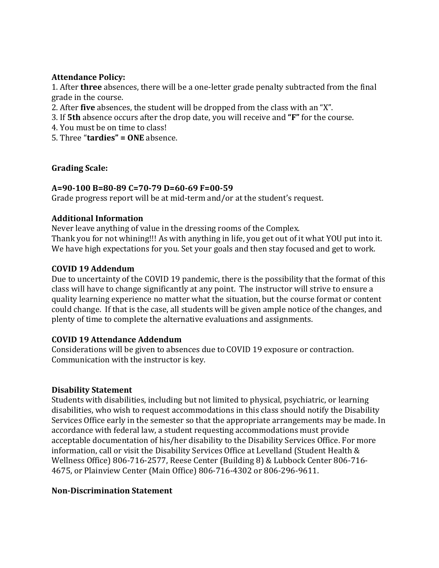## **Attendance Policy:**

1. After **three** absences, there will be a one-letter grade penalty subtracted from the final grade in the course.

- 2. After **five** absences, the student will be dropped from the class with an "X".
- 3. If **5th** absence occurs after the drop date, you will receive and **"F"** for the course.
- 4. You must be on time to class!
- 5. Three "**tardies" = ONE** absence.

# **Grading Scale:**

## **A=90-100 B=80-89 C=70-79 D=60-69 F=00-59**

Grade progress report will be at mid-term and/or at the student's request.

# **Additional Information**

Never leave anything of value in the dressing rooms of the Complex. Thank you for not whining!!! As with anything in life, you get out of it what YOU put into it. We have high expectations for you. Set your goals and then stay focused and get to work.

# **COVID 19 Addendum**

Due to uncertainty of the COVID 19 pandemic, there is the possibility that the format of this class will have to change significantly at any point. The instructor will strive to ensure a quality learning experience no matter what the situation, but the course format or content could change. If that is the case, all students will be given ample notice of the changes, and plenty of time to complete the alternative evaluations and assignments.

# **COVID 19 Attendance Addendum**

Considerations will be given to absences due to COVID 19 exposure or contraction. Communication with the instructor is key.

## **Disability Statement**

Students with disabilities, including but not limited to physical, psychiatric, or learning disabilities, who wish to request accommodations in this class should notify the Disability Services Office early in the semester so that the appropriate arrangements may be made. In accordance with federal law, a student requesting accommodations must provide acceptable documentation of his/her disability to the Disability Services Office. For more information, call or visit the Disability Services Office at Levelland (Student Health & Wellness Office) 806-716-2577, Reese Center (Building 8) & Lubbock Center 806-716- 4675, or Plainview Center (Main Office) 806-716-4302 or 806-296-9611.

## **Non-Discrimination Statement**